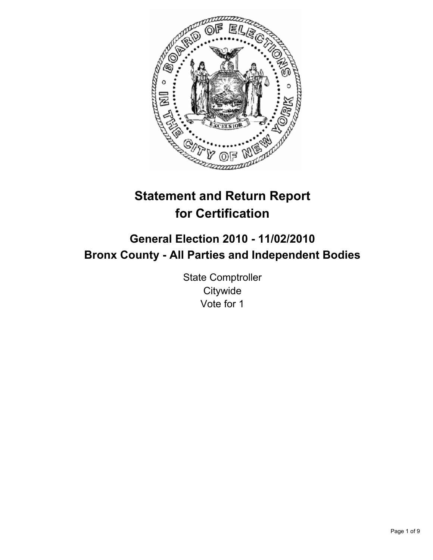

# **Statement and Return Report for Certification**

## **General Election 2010 - 11/02/2010 Bronx County - All Parties and Independent Bodies**

State Comptroller **Citywide** Vote for 1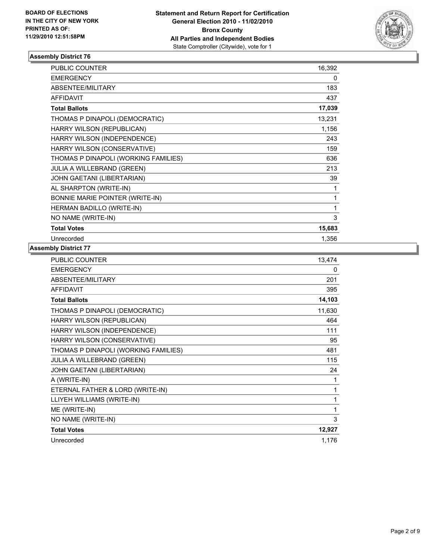

| <b>PUBLIC COUNTER</b>                | 16,392 |
|--------------------------------------|--------|
| <b>EMERGENCY</b>                     | 0      |
| ABSENTEE/MILITARY                    | 183    |
| <b>AFFIDAVIT</b>                     | 437    |
| <b>Total Ballots</b>                 | 17,039 |
| THOMAS P DINAPOLI (DEMOCRATIC)       | 13,231 |
| HARRY WILSON (REPUBLICAN)            | 1,156  |
| HARRY WILSON (INDEPENDENCE)          | 243    |
| HARRY WILSON (CONSERVATIVE)          | 159    |
| THOMAS P DINAPOLI (WORKING FAMILIES) | 636    |
| JULIA A WILLEBRAND (GREEN)           | 213    |
| JOHN GAETANI (LIBERTARIAN)           | 39     |
| AL SHARPTON (WRITE-IN)               | 1      |
| BONNIE MARIE POINTER (WRITE-IN)      | 1      |
| HERMAN BADILLO (WRITE-IN)            | 1      |
| NO NAME (WRITE-IN)                   | 3      |
| <b>Total Votes</b>                   | 15,683 |
| Unrecorded                           | 1.356  |

| <b>PUBLIC COUNTER</b>                | 13,474 |
|--------------------------------------|--------|
| <b>EMERGENCY</b>                     | 0      |
| ABSENTEE/MILITARY                    | 201    |
| <b>AFFIDAVIT</b>                     | 395    |
| <b>Total Ballots</b>                 | 14,103 |
| THOMAS P DINAPOLI (DEMOCRATIC)       | 11,630 |
| HARRY WILSON (REPUBLICAN)            | 464    |
| HARRY WILSON (INDEPENDENCE)          | 111    |
| HARRY WILSON (CONSERVATIVE)          | 95     |
| THOMAS P DINAPOLI (WORKING FAMILIES) | 481    |
| JULIA A WILLEBRAND (GREEN)           | 115    |
| JOHN GAETANI (LIBERTARIAN)           | 24     |
| A (WRITE-IN)                         | 1      |
| ETERNAL FATHER & LORD (WRITE-IN)     | 1      |
| LLIYEH WILLIAMS (WRITE-IN)           | 1      |
| ME (WRITE-IN)                        | 1      |
| NO NAME (WRITE-IN)                   | 3      |
| <b>Total Votes</b>                   | 12,927 |
| Unrecorded                           | 1,176  |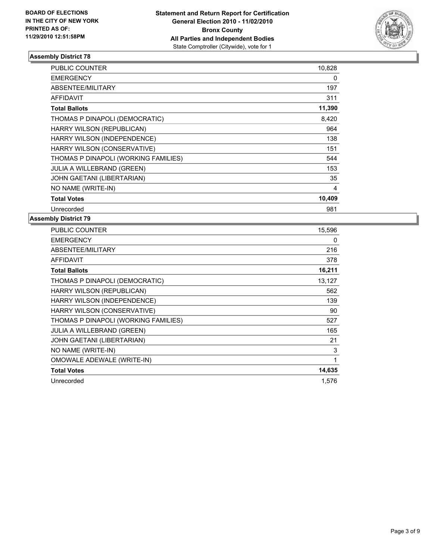

| <b>PUBLIC COUNTER</b>                | 10,828 |
|--------------------------------------|--------|
| <b>EMERGENCY</b>                     | 0      |
| ABSENTEE/MILITARY                    | 197    |
| <b>AFFIDAVIT</b>                     | 311    |
| <b>Total Ballots</b>                 | 11,390 |
| THOMAS P DINAPOLI (DEMOCRATIC)       | 8,420  |
| HARRY WILSON (REPUBLICAN)            | 964    |
| HARRY WILSON (INDEPENDENCE)          | 138    |
| HARRY WILSON (CONSERVATIVE)          | 151    |
| THOMAS P DINAPOLI (WORKING FAMILIES) | 544    |
| <b>JULIA A WILLEBRAND (GREEN)</b>    | 153    |
| JOHN GAETANI (LIBERTARIAN)           | 35     |
| NO NAME (WRITE-IN)                   | 4      |
| <b>Total Votes</b>                   | 10,409 |
| Unrecorded                           | 981    |

| <b>PUBLIC COUNTER</b>                | 15,596 |
|--------------------------------------|--------|
| <b>EMERGENCY</b>                     | 0      |
| ABSENTEE/MILITARY                    | 216    |
| AFFIDAVIT                            | 378    |
| <b>Total Ballots</b>                 | 16,211 |
| THOMAS P DINAPOLI (DEMOCRATIC)       | 13,127 |
| HARRY WILSON (REPUBLICAN)            | 562    |
| HARRY WILSON (INDEPENDENCE)          | 139    |
| HARRY WILSON (CONSERVATIVE)          | 90     |
| THOMAS P DINAPOLI (WORKING FAMILIES) | 527    |
| JULIA A WILLEBRAND (GREEN)           | 165    |
| JOHN GAETANI (LIBERTARIAN)           | 21     |
| NO NAME (WRITE-IN)                   | 3      |
| OMOWALE ADEWALE (WRITE-IN)           | 1      |
| <b>Total Votes</b>                   | 14,635 |
| Unrecorded                           | 1,576  |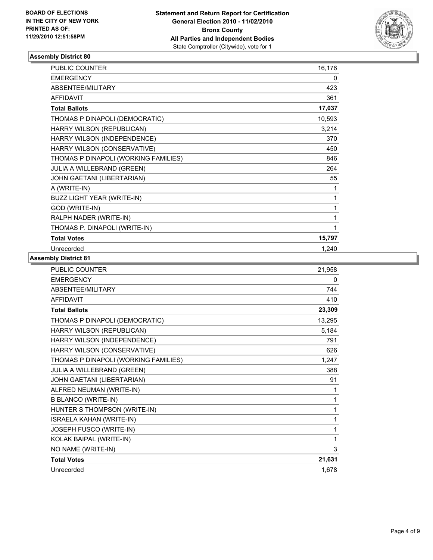

| <b>PUBLIC COUNTER</b>                | 16,176 |
|--------------------------------------|--------|
| <b>EMERGENCY</b>                     | 0      |
| ABSENTEE/MILITARY                    | 423    |
| <b>AFFIDAVIT</b>                     | 361    |
| <b>Total Ballots</b>                 | 17,037 |
| THOMAS P DINAPOLI (DEMOCRATIC)       | 10,593 |
| HARRY WILSON (REPUBLICAN)            | 3,214  |
| HARRY WILSON (INDEPENDENCE)          | 370    |
| HARRY WILSON (CONSERVATIVE)          | 450    |
| THOMAS P DINAPOLI (WORKING FAMILIES) | 846    |
| <b>JULIA A WILLEBRAND (GREEN)</b>    | 264    |
| JOHN GAETANI (LIBERTARIAN)           | 55     |
| A (WRITE-IN)                         | 1      |
| BUZZ LIGHT YEAR (WRITE-IN)           | 1      |
| GOD (WRITE-IN)                       | 1      |
| RALPH NADER (WRITE-IN)               | 1      |
| THOMAS P. DINAPOLI (WRITE-IN)        | 1      |
| <b>Total Votes</b>                   | 15,797 |
| Unrecorded                           | 1,240  |

| PUBLIC COUNTER                       | 21,958 |
|--------------------------------------|--------|
| <b>EMERGENCY</b>                     | 0      |
| ABSENTEE/MILITARY                    | 744    |
| <b>AFFIDAVIT</b>                     | 410    |
| <b>Total Ballots</b>                 | 23,309 |
| THOMAS P DINAPOLI (DEMOCRATIC)       | 13,295 |
| HARRY WILSON (REPUBLICAN)            | 5,184  |
| HARRY WILSON (INDEPENDENCE)          | 791    |
| HARRY WILSON (CONSERVATIVE)          | 626    |
| THOMAS P DINAPOLI (WORKING FAMILIES) | 1,247  |
| JULIA A WILLEBRAND (GREEN)           | 388    |
| JOHN GAETANI (LIBERTARIAN)           | 91     |
| ALFRED NEUMAN (WRITE-IN)             | 1      |
| <b>B BLANCO (WRITE-IN)</b>           | 1      |
| HUNTER S THOMPSON (WRITE-IN)         | 1      |
| <b>ISRAELA KAHAN (WRITE-IN)</b>      | 1      |
| JOSEPH FUSCO (WRITE-IN)              | 1      |
| KOLAK BAIPAL (WRITE-IN)              | 1      |
| NO NAME (WRITE-IN)                   | 3      |
| <b>Total Votes</b>                   | 21,631 |
| Unrecorded                           | 1,678  |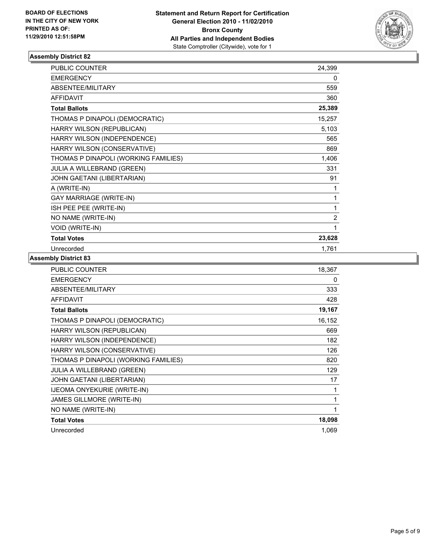

| <b>PUBLIC COUNTER</b>                | 24,399         |
|--------------------------------------|----------------|
| <b>EMERGENCY</b>                     | 0              |
| ABSENTEE/MILITARY                    | 559            |
| <b>AFFIDAVIT</b>                     | 360            |
| <b>Total Ballots</b>                 | 25,389         |
| THOMAS P DINAPOLI (DEMOCRATIC)       | 15,257         |
| HARRY WILSON (REPUBLICAN)            | 5,103          |
| HARRY WILSON (INDEPENDENCE)          | 565            |
| HARRY WILSON (CONSERVATIVE)          | 869            |
| THOMAS P DINAPOLI (WORKING FAMILIES) | 1,406          |
| JULIA A WILLEBRAND (GREEN)           | 331            |
| JOHN GAETANI (LIBERTARIAN)           | 91             |
| A (WRITE-IN)                         | 1              |
| <b>GAY MARRIAGE (WRITE-IN)</b>       | 1              |
| ISH PEE PEE (WRITE-IN)               | 1              |
| NO NAME (WRITE-IN)                   | $\overline{c}$ |
| <b>VOID (WRITE-IN)</b>               | 1              |
| <b>Total Votes</b>                   | 23,628         |
| Unrecorded                           | 1,761          |

| <b>PUBLIC COUNTER</b>                | 18,367 |
|--------------------------------------|--------|
| <b>EMERGENCY</b>                     | 0      |
| ABSENTEE/MILITARY                    | 333    |
| <b>AFFIDAVIT</b>                     | 428    |
| <b>Total Ballots</b>                 | 19,167 |
| THOMAS P DINAPOLI (DEMOCRATIC)       | 16,152 |
| HARRY WILSON (REPUBLICAN)            | 669    |
| HARRY WILSON (INDEPENDENCE)          | 182    |
| HARRY WILSON (CONSERVATIVE)          | 126    |
| THOMAS P DINAPOLI (WORKING FAMILIES) | 820    |
| <b>JULIA A WILLEBRAND (GREEN)</b>    | 129    |
| JOHN GAETANI (LIBERTARIAN)           | 17     |
| <b>IJEOMA ONYEKURIE (WRITE-IN)</b>   | 1      |
| JAMES GILLMORE (WRITE-IN)            | 1      |
| NO NAME (WRITE-IN)                   | 1      |
| <b>Total Votes</b>                   | 18,098 |
| Unrecorded                           | 1,069  |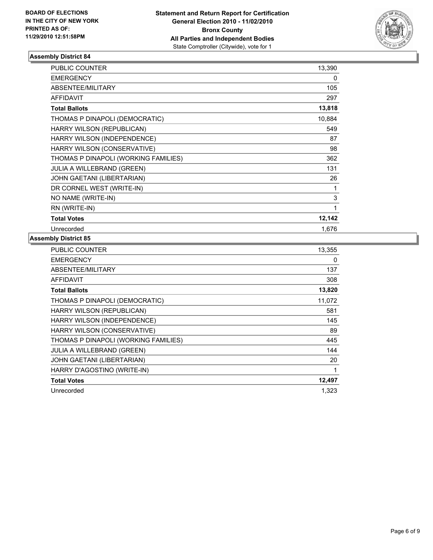

| <b>PUBLIC COUNTER</b>                | 13,390 |
|--------------------------------------|--------|
| <b>EMERGENCY</b>                     | 0      |
| ABSENTEE/MILITARY                    | 105    |
| <b>AFFIDAVIT</b>                     | 297    |
| <b>Total Ballots</b>                 | 13,818 |
| THOMAS P DINAPOLI (DEMOCRATIC)       | 10,884 |
| HARRY WILSON (REPUBLICAN)            | 549    |
| HARRY WILSON (INDEPENDENCE)          | 87     |
| HARRY WILSON (CONSERVATIVE)          | 98     |
| THOMAS P DINAPOLI (WORKING FAMILIES) | 362    |
| <b>JULIA A WILLEBRAND (GREEN)</b>    | 131    |
| JOHN GAETANI (LIBERTARIAN)           | 26     |
| DR CORNEL WEST (WRITE-IN)            | 1      |
| NO NAME (WRITE-IN)                   | 3      |
| RN (WRITE-IN)                        | 1      |
| <b>Total Votes</b>                   | 12,142 |
| Unrecorded                           | 1,676  |

| <b>PUBLIC COUNTER</b>                | 13,355 |
|--------------------------------------|--------|
| <b>EMERGENCY</b>                     | 0      |
| ABSENTEE/MILITARY                    | 137    |
| <b>AFFIDAVIT</b>                     | 308    |
| <b>Total Ballots</b>                 | 13,820 |
| THOMAS P DINAPOLI (DEMOCRATIC)       | 11,072 |
| HARRY WILSON (REPUBLICAN)            | 581    |
| HARRY WILSON (INDEPENDENCE)          | 145    |
| HARRY WILSON (CONSERVATIVE)          | 89     |
| THOMAS P DINAPOLI (WORKING FAMILIES) | 445    |
| <b>JULIA A WILLEBRAND (GREEN)</b>    | 144    |
| JOHN GAETANI (LIBERTARIAN)           | 20     |
| HARRY D'AGOSTINO (WRITE-IN)          | 1      |
| <b>Total Votes</b>                   | 12,497 |
| Unrecorded                           | 1,323  |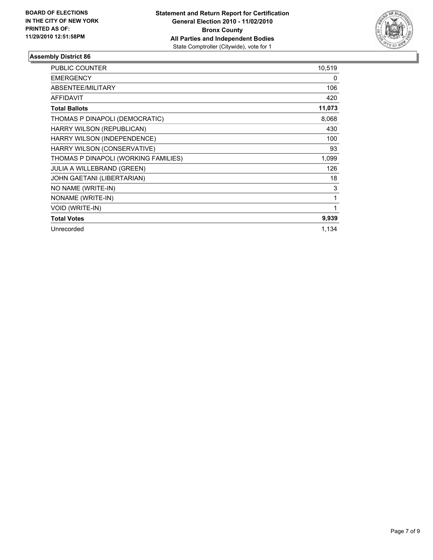

| <b>PUBLIC COUNTER</b>                | 10,519 |
|--------------------------------------|--------|
| <b>EMERGENCY</b>                     | 0      |
| ABSENTEE/MILITARY                    | 106    |
| <b>AFFIDAVIT</b>                     | 420    |
| <b>Total Ballots</b>                 | 11,073 |
| THOMAS P DINAPOLI (DEMOCRATIC)       | 8,068  |
| HARRY WILSON (REPUBLICAN)            | 430    |
| HARRY WILSON (INDEPENDENCE)          | 100    |
| HARRY WILSON (CONSERVATIVE)          | 93     |
| THOMAS P DINAPOLI (WORKING FAMILIES) | 1,099  |
| <b>JULIA A WILLEBRAND (GREEN)</b>    | 126    |
| JOHN GAETANI (LIBERTARIAN)           | 18     |
| NO NAME (WRITE-IN)                   | 3      |
| NONAME (WRITE-IN)                    | 1      |
| VOID (WRITE-IN)                      | 1      |
| <b>Total Votes</b>                   | 9,939  |
| Unrecorded                           | 1,134  |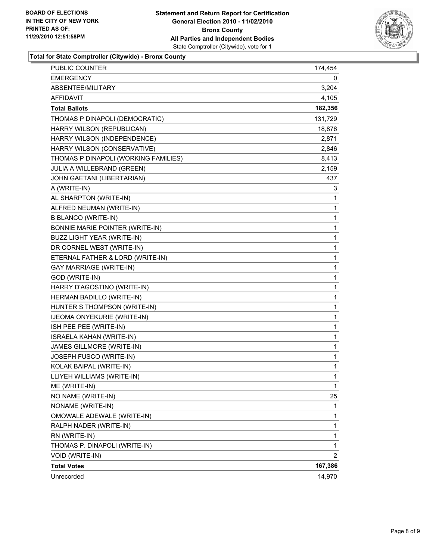

**Total for State Comptroller (Citywide) - Bronx County**

| <b>PUBLIC COUNTER</b>                | 174,454      |
|--------------------------------------|--------------|
| EMERGENCY                            | 0            |
| ABSENTEE/MILITARY                    | 3,204        |
| AFFIDAVIT                            | 4,105        |
| <b>Total Ballots</b>                 | 182,356      |
| THOMAS P DINAPOLI (DEMOCRATIC)       | 131,729      |
| HARRY WILSON (REPUBLICAN)            | 18,876       |
| HARRY WILSON (INDEPENDENCE)          | 2,871        |
| HARRY WILSON (CONSERVATIVE)          | 2,846        |
| THOMAS P DINAPOLI (WORKING FAMILIES) | 8,413        |
| JULIA A WILLEBRAND (GREEN)           | 2,159        |
| JOHN GAETANI (LIBERTARIAN)           | 437          |
| A (WRITE-IN)                         | 3            |
| AL SHARPTON (WRITE-IN)               | 1            |
| ALFRED NEUMAN (WRITE-IN)             | 1            |
| <b>B BLANCO (WRITE-IN)</b>           | 1            |
| BONNIE MARIE POINTER (WRITE-IN)      | 1            |
| BUZZ LIGHT YEAR (WRITE-IN)           | 1            |
| DR CORNEL WEST (WRITE-IN)            | 1            |
| ETERNAL FATHER & LORD (WRITE-IN)     | 1            |
| GAY MARRIAGE (WRITE-IN)              | 1            |
| GOD (WRITE-IN)                       | 1            |
| HARRY D'AGOSTINO (WRITE-IN)          | 1            |
| HERMAN BADILLO (WRITE-IN)            | 1            |
| HUNTER S THOMPSON (WRITE-IN)         | 1            |
| IJEOMA ONYEKURIE (WRITE-IN)          | 1            |
| ISH PEE PEE (WRITE-IN)               | 1            |
| ISRAELA KAHAN (WRITE-IN)             | 1            |
| JAMES GILLMORE (WRITE-IN)            | 1            |
| JOSEPH FUSCO (WRITE-IN)              | 1            |
| KOLAK BAIPAL (WRITE-IN)              | 1            |
| LLIYEH WILLIAMS (WRITE-IN)           | 1            |
| ME (WRITE-IN)                        | $\mathbf{1}$ |
| NO NAME (WRITE-IN)                   | 25           |
| NONAME (WRITE-IN)                    | 1            |
| OMOWALE ADEWALE (WRITE-IN)           | 1            |
| RALPH NADER (WRITE-IN)               | 1            |
| RN (WRITE-IN)                        | 1            |
| THOMAS P. DINAPOLI (WRITE-IN)        | 1            |
| VOID (WRITE-IN)                      | 2            |
| <b>Total Votes</b>                   | 167,386      |
| Unrecorded                           | 14,970       |